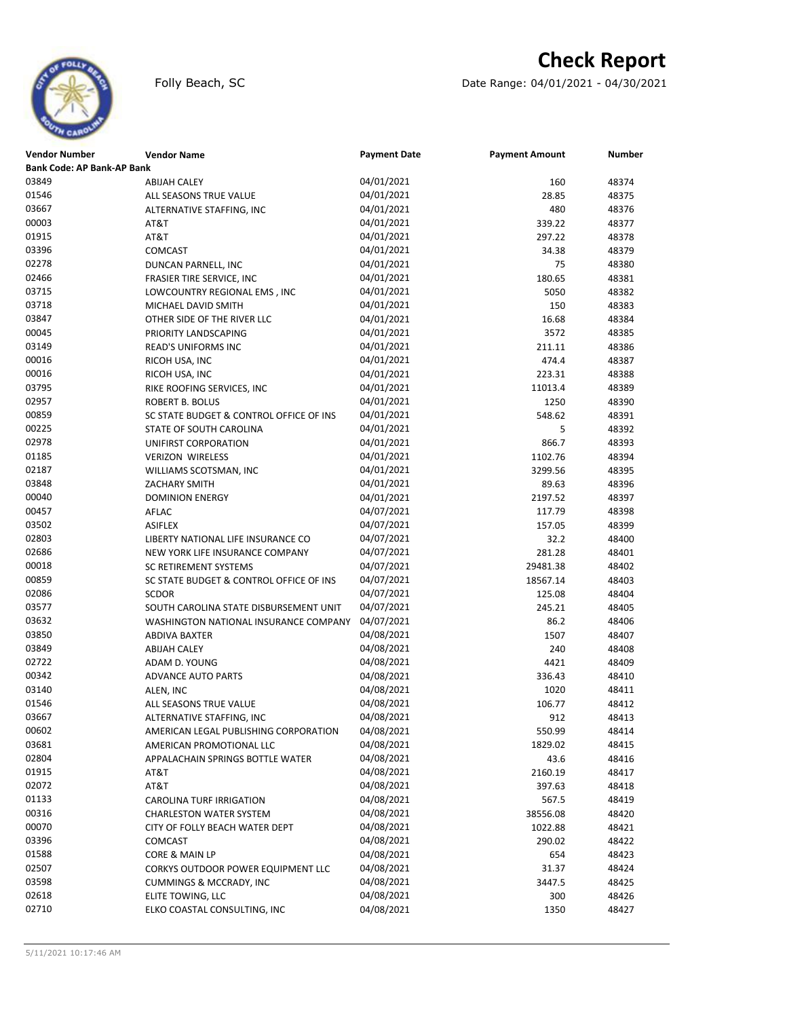## **Check Report**





| <b>Vendor Number</b>              | <b>Vendor Name</b>                      | <b>Payment Date</b> | <b>Payment Amount</b> | Number |
|-----------------------------------|-----------------------------------------|---------------------|-----------------------|--------|
| <b>Bank Code: AP Bank-AP Bank</b> |                                         |                     |                       |        |
| 03849                             | <b>ABIJAH CALEY</b>                     | 04/01/2021          | 160                   | 48374  |
| 01546                             | ALL SEASONS TRUE VALUE                  | 04/01/2021          | 28.85                 | 48375  |
| 03667                             | ALTERNATIVE STAFFING, INC               | 04/01/2021          | 480                   | 48376  |
| 00003                             | AT&T                                    | 04/01/2021          | 339.22                | 48377  |
| 01915                             | AT&T                                    | 04/01/2021          | 297.22                | 48378  |
| 03396                             | <b>COMCAST</b>                          | 04/01/2021          | 34.38                 | 48379  |
| 02278                             | DUNCAN PARNELL, INC                     | 04/01/2021          | 75                    | 48380  |
| 02466                             | FRASIER TIRE SERVICE, INC               | 04/01/2021          | 180.65                | 48381  |
| 03715                             | LOWCOUNTRY REGIONAL EMS, INC            | 04/01/2021          | 5050                  | 48382  |
| 03718                             | MICHAEL DAVID SMITH                     | 04/01/2021          | 150                   | 48383  |
| 03847                             | OTHER SIDE OF THE RIVER LLC             | 04/01/2021          | 16.68                 | 48384  |
| 00045                             | PRIORITY LANDSCAPING                    | 04/01/2021          | 3572                  | 48385  |
| 03149                             | <b>READ'S UNIFORMS INC</b>              | 04/01/2021          | 211.11                | 48386  |
| 00016                             | RICOH USA, INC                          | 04/01/2021          | 474.4                 | 48387  |
| 00016                             | RICOH USA, INC                          | 04/01/2021          | 223.31                | 48388  |
| 03795                             | RIKE ROOFING SERVICES, INC              | 04/01/2021          | 11013.4               | 48389  |
| 02957                             | <b>ROBERT B. BOLUS</b>                  | 04/01/2021          | 1250                  | 48390  |
| 00859                             | SC STATE BUDGET & CONTROL OFFICE OF INS | 04/01/2021          | 548.62                | 48391  |
| 00225                             | STATE OF SOUTH CAROLINA                 | 04/01/2021          | 5                     | 48392  |
| 02978                             | UNIFIRST CORPORATION                    | 04/01/2021          | 866.7                 | 48393  |
| 01185                             | <b>VERIZON WIRELESS</b>                 | 04/01/2021          | 1102.76               | 48394  |
| 02187                             | WILLIAMS SCOTSMAN, INC                  | 04/01/2021          | 3299.56               | 48395  |
| 03848                             | ZACHARY SMITH                           | 04/01/2021          | 89.63                 | 48396  |
| 00040                             |                                         | 04/01/2021          |                       |        |
| 00457                             | <b>DOMINION ENERGY</b>                  |                     | 2197.52               | 48397  |
|                                   | AFLAC                                   | 04/07/2021          | 117.79                | 48398  |
| 03502                             | <b>ASIFLEX</b>                          | 04/07/2021          | 157.05                | 48399  |
| 02803                             | LIBERTY NATIONAL LIFE INSURANCE CO      | 04/07/2021          | 32.2                  | 48400  |
| 02686                             | NEW YORK LIFE INSURANCE COMPANY         | 04/07/2021          | 281.28                | 48401  |
| 00018                             | SC RETIREMENT SYSTEMS                   | 04/07/2021          | 29481.38              | 48402  |
| 00859                             | SC STATE BUDGET & CONTROL OFFICE OF INS | 04/07/2021          | 18567.14              | 48403  |
| 02086                             | <b>SCDOR</b>                            | 04/07/2021          | 125.08                | 48404  |
| 03577                             | SOUTH CAROLINA STATE DISBURSEMENT UNIT  | 04/07/2021          | 245.21                | 48405  |
| 03632                             | WASHINGTON NATIONAL INSURANCE COMPANY   | 04/07/2021          | 86.2                  | 48406  |
| 03850                             | ABDIVA BAXTER                           | 04/08/2021          | 1507                  | 48407  |
| 03849                             | <b>ABIJAH CALEY</b>                     | 04/08/2021          | 240                   | 48408  |
| 02722                             | ADAM D. YOUNG                           | 04/08/2021          | 4421                  | 48409  |
| 00342                             | ADVANCE AUTO PARTS                      | 04/08/2021          | 336.43                | 48410  |
| 03140                             | ALEN, INC                               | 04/08/2021          | 1020                  | 48411  |
| 01546                             | ALL SEASONS TRUE VALUE                  | 04/08/2021          | 106.77                | 48412  |
| 03667                             | ALTERNATIVE STAFFING. INC               | 04/08/2021          | 912                   | 48413  |
| 00602                             | AMERICAN LEGAL PUBLISHING CORPORATION   | 04/08/2021          | 550.99                | 48414  |
| 03681                             | AMERICAN PROMOTIONAL LLC                | 04/08/2021          | 1829.02               | 48415  |
| 02804                             | APPALACHAIN SPRINGS BOTTLE WATER        | 04/08/2021          | 43.6                  | 48416  |
| 01915                             | AT&T                                    | 04/08/2021          | 2160.19               | 48417  |
| 02072                             | AT&T                                    | 04/08/2021          | 397.63                | 48418  |
| 01133                             | CAROLINA TURF IRRIGATION                | 04/08/2021          | 567.5                 | 48419  |
| 00316                             | <b>CHARLESTON WATER SYSTEM</b>          | 04/08/2021          | 38556.08              | 48420  |
| 00070                             | CITY OF FOLLY BEACH WATER DEPT          | 04/08/2021          | 1022.88               | 48421  |
| 03396                             | <b>COMCAST</b>                          | 04/08/2021          | 290.02                | 48422  |
| 01588                             | CORE & MAIN LP                          | 04/08/2021          | 654                   | 48423  |
| 02507                             | CORKYS OUTDOOR POWER EQUIPMENT LLC      | 04/08/2021          | 31.37                 | 48424  |
| 03598                             | <b>CUMMINGS &amp; MCCRADY, INC</b>      | 04/08/2021          | 3447.5                | 48425  |
| 02618                             | ELITE TOWING, LLC                       | 04/08/2021          | 300                   | 48426  |
| 02710                             | ELKO COASTAL CONSULTING, INC            | 04/08/2021          | 1350                  | 48427  |
|                                   |                                         |                     |                       |        |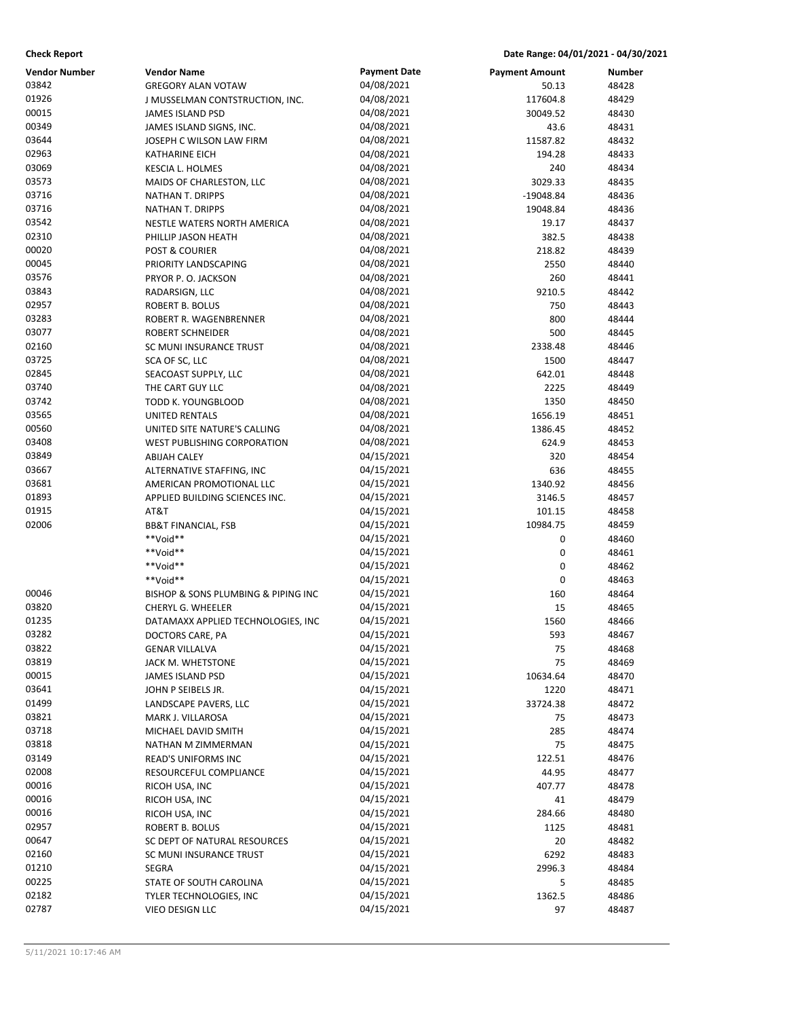| <b>Check Report</b>  |                                     |                          | Date Range: 04/01/2021 - 04/30/2021 |                |
|----------------------|-------------------------------------|--------------------------|-------------------------------------|----------------|
| <b>Vendor Number</b> | <b>Vendor Name</b>                  | <b>Payment Date</b>      | <b>Payment Amount</b>               | Number         |
| 03842                | <b>GREGORY ALAN VOTAW</b>           | 04/08/2021               | 50.13                               | 48428          |
| 01926                | J MUSSELMAN CONTSTRUCTION, INC.     | 04/08/2021               | 117604.8                            | 48429          |
| 00015                | <b>JAMES ISLAND PSD</b>             | 04/08/2021               | 30049.52                            | 48430          |
| 00349                | JAMES ISLAND SIGNS, INC.            | 04/08/2021               | 43.6                                | 48431          |
| 03644                | JOSEPH C WILSON LAW FIRM            | 04/08/2021               | 11587.82                            | 48432          |
| 02963                | <b>KATHARINE EICH</b>               | 04/08/2021               | 194.28                              | 48433          |
| 03069                | <b>KESCIA L. HOLMES</b>             | 04/08/2021               | 240                                 | 48434          |
| 03573                | MAIDS OF CHARLESTON, LLC            | 04/08/2021               | 3029.33                             | 48435          |
| 03716                | NATHAN T. DRIPPS                    | 04/08/2021               | $-19048.84$                         | 48436          |
| 03716                | NATHAN T. DRIPPS                    | 04/08/2021               | 19048.84                            | 48436          |
| 03542                | NESTLE WATERS NORTH AMERICA         | 04/08/2021               | 19.17                               | 48437          |
| 02310                | PHILLIP JASON HEATH                 | 04/08/2021               | 382.5                               | 48438          |
| 00020                | POST & COURIER                      | 04/08/2021               | 218.82                              | 48439          |
| 00045                | PRIORITY LANDSCAPING                | 04/08/2021               | 2550                                | 48440          |
| 03576                | PRYOR P. O. JACKSON                 | 04/08/2021               | 260                                 | 48441          |
| 03843                | RADARSIGN, LLC                      | 04/08/2021               | 9210.5                              | 48442          |
| 02957                | ROBERT B. BOLUS                     | 04/08/2021               | 750                                 | 48443          |
| 03283                | ROBERT R. WAGENBRENNER              | 04/08/2021               | 800                                 | 48444          |
| 03077                | ROBERT SCHNEIDER                    | 04/08/2021               | 500                                 | 48445          |
| 02160                | SC MUNI INSURANCE TRUST             | 04/08/2021               | 2338.48                             | 48446          |
| 03725                | SCA OF SC, LLC                      | 04/08/2021               | 1500                                | 48447          |
| 02845                | SEACOAST SUPPLY, LLC                | 04/08/2021               | 642.01                              | 48448          |
| 03740                | THE CART GUY LLC                    | 04/08/2021               | 2225                                | 48449          |
| 03742                | TODD K. YOUNGBLOOD                  | 04/08/2021               | 1350                                | 48450          |
| 03565                | <b>UNITED RENTALS</b>               | 04/08/2021               | 1656.19                             | 48451          |
| 00560                | UNITED SITE NATURE'S CALLING        | 04/08/2021               | 1386.45                             | 48452          |
| 03408                | WEST PUBLISHING CORPORATION         | 04/08/2021               | 624.9                               | 48453          |
| 03849                | <b>ABIJAH CALEY</b>                 | 04/15/2021               | 320                                 | 48454          |
| 03667                | ALTERNATIVE STAFFING, INC           | 04/15/2021               | 636                                 | 48455          |
| 03681                | AMERICAN PROMOTIONAL LLC            | 04/15/2021               | 1340.92                             | 48456          |
| 01893                | APPLIED BUILDING SCIENCES INC.      | 04/15/2021               | 3146.5                              | 48457          |
| 01915<br>02006       | AT&T                                | 04/15/2021               | 101.15                              | 48458          |
|                      | <b>BB&amp;T FINANCIAL, FSB</b>      | 04/15/2021<br>04/15/2021 | 10984.75                            | 48459          |
|                      | **Void**<br>**Void**                | 04/15/2021               | 0                                   | 48460          |
|                      | **Void**                            | 04/15/2021               | 0<br>0                              | 48461<br>48462 |
|                      | **Void**                            | 04/15/2021               | 0                                   | 48463          |
| 00046                | BISHOP & SONS PLUMBING & PIPING INC | 04/15/2021               | 160                                 | 48464          |
| 03820                | CHERYL G. WHEELER                   | 04/15/2021               | 15                                  | 48465          |
| 01235                | DATAMAXX APPLIED TECHNOLOGIES, INC  | 04/15/2021               | 1560                                | 48466          |
| 03282                | DOCTORS CARE, PA                    | 04/15/2021               | 593                                 | 48467          |
| 03822                | <b>GENAR VILLALVA</b>               | 04/15/2021               | 75                                  | 48468          |
| 03819                | JACK M. WHETSTONE                   | 04/15/2021               | 75                                  | 48469          |
| 00015                | <b>JAMES ISLAND PSD</b>             | 04/15/2021               | 10634.64                            | 48470          |
| 03641                | JOHN P SEIBELS JR.                  | 04/15/2021               | 1220                                | 48471          |
| 01499                | LANDSCAPE PAVERS, LLC               | 04/15/2021               | 33724.38                            | 48472          |
| 03821                | MARK J. VILLAROSA                   | 04/15/2021               | 75                                  | 48473          |
| 03718                | MICHAEL DAVID SMITH                 | 04/15/2021               | 285                                 | 48474          |
| 03818                | NATHAN M ZIMMERMAN                  | 04/15/2021               | 75                                  | 48475          |
| 03149                | READ'S UNIFORMS INC                 | 04/15/2021               | 122.51                              | 48476          |
| 02008                | RESOURCEFUL COMPLIANCE              | 04/15/2021               | 44.95                               | 48477          |
| 00016                | RICOH USA, INC                      | 04/15/2021               | 407.77                              | 48478          |
| 00016                | RICOH USA, INC                      | 04/15/2021               | 41                                  | 48479          |
| 00016                | RICOH USA, INC                      | 04/15/2021               | 284.66                              | 48480          |
| 02957                | ROBERT B. BOLUS                     | 04/15/2021               | 1125                                | 48481          |
| 00647                | SC DEPT OF NATURAL RESOURCES        | 04/15/2021               | 20                                  | 48482          |
| 02160                | SC MUNI INSURANCE TRUST             | 04/15/2021               | 6292                                | 48483          |
| 01210                | SEGRA                               | 04/15/2021               | 2996.3                              | 48484          |
| 00225                | STATE OF SOUTH CAROLINA             | 04/15/2021               | 5                                   | 48485          |
| 02182                | TYLER TECHNOLOGIES, INC             | 04/15/2021               | 1362.5                              | 48486          |
| 02787                | VIEO DESIGN LLC                     | 04/15/2021               | 97                                  | 48487          |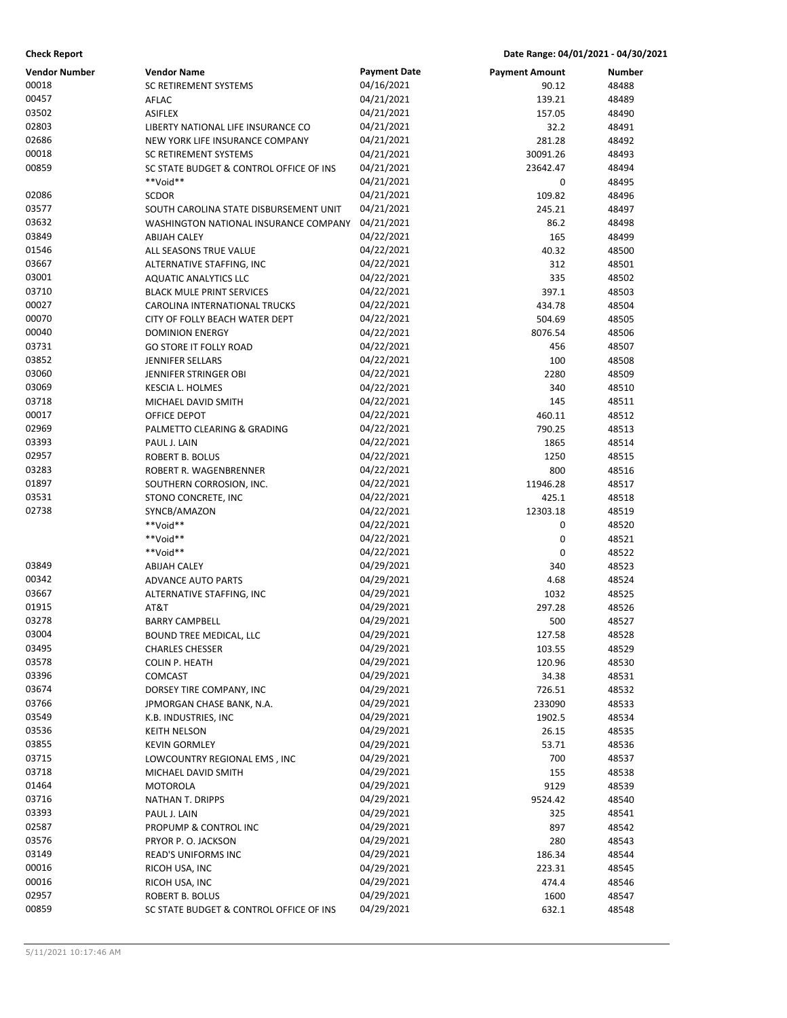| <b>Check Report</b>  |                                         |                     | Date Range: 04/01/2021 - 04/30/2021 |               |
|----------------------|-----------------------------------------|---------------------|-------------------------------------|---------------|
| <b>Vendor Number</b> | <b>Vendor Name</b>                      | <b>Payment Date</b> | <b>Payment Amount</b>               | <b>Number</b> |
| 00018                | <b>SC RETIREMENT SYSTEMS</b>            | 04/16/2021          | 90.12                               | 48488         |
| 00457                | AFLAC                                   | 04/21/2021          | 139.21                              | 48489         |
| 03502                | <b>ASIFLEX</b>                          | 04/21/2021          | 157.05                              | 48490         |
| 02803                | LIBERTY NATIONAL LIFE INSURANCE CO      | 04/21/2021          | 32.2                                | 48491         |
| 02686                | NEW YORK LIFE INSURANCE COMPANY         | 04/21/2021          | 281.28                              | 48492         |
| 00018                | SC RETIREMENT SYSTEMS                   | 04/21/2021          | 30091.26                            | 48493         |
| 00859                | SC STATE BUDGET & CONTROL OFFICE OF INS | 04/21/2021          | 23642.47                            | 48494         |
|                      | **Void**                                | 04/21/2021          | 0                                   | 48495         |
| 02086                | <b>SCDOR</b>                            | 04/21/2021          | 109.82                              | 48496         |
| 03577                | SOUTH CAROLINA STATE DISBURSEMENT UNIT  | 04/21/2021          | 245.21                              | 48497         |
| 03632                | WASHINGTON NATIONAL INSURANCE COMPANY   | 04/21/2021          | 86.2                                | 48498         |
| 03849                | <b>ABIJAH CALEY</b>                     | 04/22/2021          | 165                                 | 48499         |
| 01546                | ALL SEASONS TRUE VALUE                  | 04/22/2021          | 40.32                               | 48500         |
| 03667                | ALTERNATIVE STAFFING, INC               | 04/22/2021          | 312                                 | 48501         |
| 03001                | <b>AQUATIC ANALYTICS LLC</b>            | 04/22/2021          | 335                                 | 48502         |
| 03710                | <b>BLACK MULE PRINT SERVICES</b>        | 04/22/2021          | 397.1                               | 48503         |
| 00027                | CAROLINA INTERNATIONAL TRUCKS           | 04/22/2021          | 434.78                              | 48504         |
| 00070                | CITY OF FOLLY BEACH WATER DEPT          | 04/22/2021          | 504.69                              | 48505         |
| 00040                | <b>DOMINION ENERGY</b>                  | 04/22/2021          | 8076.54                             | 48506         |
| 03731                | <b>GO STORE IT FOLLY ROAD</b>           | 04/22/2021          | 456                                 | 48507         |
| 03852                | JENNIFER SELLARS                        | 04/22/2021          | 100                                 | 48508         |
| 03060                | JENNIFER STRINGER OBI                   | 04/22/2021          | 2280                                | 48509         |
| 03069                | KESCIA L. HOLMES                        | 04/22/2021          | 340                                 | 48510         |
| 03718                | MICHAEL DAVID SMITH                     | 04/22/2021          | 145                                 | 48511         |
| 00017                | OFFICE DEPOT                            | 04/22/2021          | 460.11                              | 48512         |
| 02969                | PALMETTO CLEARING & GRADING             | 04/22/2021          | 790.25                              | 48513         |
| 03393                | PAUL J. LAIN                            | 04/22/2021          | 1865                                | 48514         |
| 02957                | ROBERT B. BOLUS                         | 04/22/2021          | 1250                                | 48515         |
| 03283                | ROBERT R. WAGENBRENNER                  | 04/22/2021          | 800                                 | 48516         |
| 01897                | SOUTHERN CORROSION, INC.                | 04/22/2021          | 11946.28                            | 48517         |
| 03531                | STONO CONCRETE, INC                     | 04/22/2021          | 425.1                               | 48518         |
| 02738                | SYNCB/AMAZON                            | 04/22/2021          | 12303.18                            | 48519         |
|                      | **Void**                                | 04/22/2021          | 0                                   | 48520         |
|                      | **Void**                                | 04/22/2021          | 0                                   | 48521         |
|                      | **Void**                                | 04/22/2021          | 0                                   | 48522         |
| 03849                | <b>ABIJAH CALEY</b>                     | 04/29/2021          | 340                                 | 48523         |
| 00342                | <b>ADVANCE AUTO PARTS</b>               | 04/29/2021          | 4.68                                | 48524         |
| 03667                | ALTERNATIVE STAFFING, INC               | 04/29/2021          | 1032                                | 48525         |
| 01915                | AT&T                                    | 04/29/2021          | 297.28                              | 48526         |
| 03278                | <b>BARRY CAMPBELL</b>                   | 04/29/2021          | 500                                 | 48527         |
| 03004                | BOUND TREE MEDICAL, LLC                 | 04/29/2021          | 127.58                              | 48528         |
| 03495                | <b>CHARLES CHESSER</b>                  | 04/29/2021          | 103.55                              | 48529         |
| 03578                | <b>COLIN P. HEATH</b>                   | 04/29/2021          | 120.96                              | 48530         |
| 03396                | COMCAST                                 | 04/29/2021          | 34.38                               | 48531         |
| 03674                | DORSEY TIRE COMPANY, INC                | 04/29/2021          | 726.51                              | 48532         |
| 03766                | JPMORGAN CHASE BANK, N.A.               | 04/29/2021          | 233090                              | 48533         |
| 03549                | K.B. INDUSTRIES, INC                    | 04/29/2021          | 1902.5                              | 48534         |
| 03536                | <b>KEITH NELSON</b>                     | 04/29/2021          | 26.15                               | 48535         |
| 03855                | <b>KEVIN GORMLEY</b>                    | 04/29/2021          | 53.71                               | 48536         |
| 03715                | LOWCOUNTRY REGIONAL EMS, INC            | 04/29/2021          | 700                                 | 48537         |
| 03718                | MICHAEL DAVID SMITH                     | 04/29/2021          | 155                                 | 48538         |
| 01464                | <b>MOTOROLA</b>                         | 04/29/2021          | 9129                                | 48539         |
| 03716                | NATHAN T. DRIPPS                        | 04/29/2021          | 9524.42                             | 48540         |
| 03393                | PAUL J. LAIN                            | 04/29/2021          | 325                                 | 48541         |
| 02587                | PROPUMP & CONTROL INC                   | 04/29/2021          | 897                                 | 48542         |
| 03576                | PRYOR P. O. JACKSON                     | 04/29/2021          | 280                                 | 48543         |
| 03149                | READ'S UNIFORMS INC                     | 04/29/2021          | 186.34                              | 48544         |
| 00016                | RICOH USA, INC                          | 04/29/2021          | 223.31                              | 48545         |
| 00016                | RICOH USA, INC                          | 04/29/2021          | 474.4                               | 48546         |
| 02957                | ROBERT B. BOLUS                         | 04/29/2021          | 1600                                | 48547         |
| 00859                | SC STATE BUDGET & CONTROL OFFICE OF INS | 04/29/2021          | 632.1                               | 48548         |
|                      |                                         |                     |                                     |               |